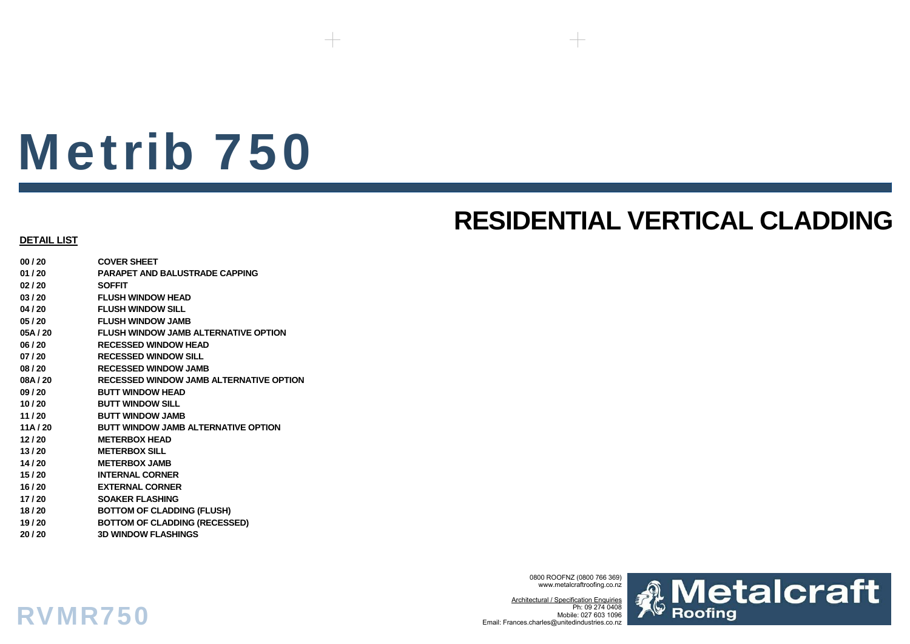# Metrib 750

## **RESIDENTIAL VERTICAL CLADDING**

### **DETAIL LIST**

RVMR750

**00 / 20 COVER SHEET01 / 20 PARAPET AND BALUSTRADE CAPPING02 / 20 SOFFIT03 / 20 FLUSH WINDOW HEAD04 / 20 FLUSH WINDOW SILL05 / 20 FLUSH WINDOW JAMB05A / 20 FLUSH WINDOW JAMB ALTERNATIVE OPTION06 / 20 RECESSED WINDOW HEAD07 / 20 RECESSED WINDOW SILL08 / 20 RECESSED WINDOW JAMB08A / 20 RECESSED WINDOW JAMB ALTERNATIVE OPTION09 / 20 BUTT WINDOW HEAD10 / 20 BUTT WINDOW SILL11 / 20 BUTT WINDOW JAMB11A / 20 BUTT WINDOW JAMB ALTERNATIVE OPTION 12 / 20 METERBOX HEAD13 / 20 METERBOX SILL14 / 20 METERBOX JAMB15 / 20 INTERNAL CORNER16 / 20 EXTERNAL CORNER17 / 20 SOAKER FLASHING 18 / 20 BOTTOM OF CLADDING (FLUSH) 19 / 20 BOTTOM OF CLADDING (RECESSED) 20 / 20 3D WINDOW FLASHINGS**

> 0800 ROOFNZ (0800 766 369) www.metalcraftroofing.co.nz

Architectural / Specification Enquiries Ph: 09 274 0408 Mobile: 027 603 1096Email: Frances.charles@unitedindustries.co.nz

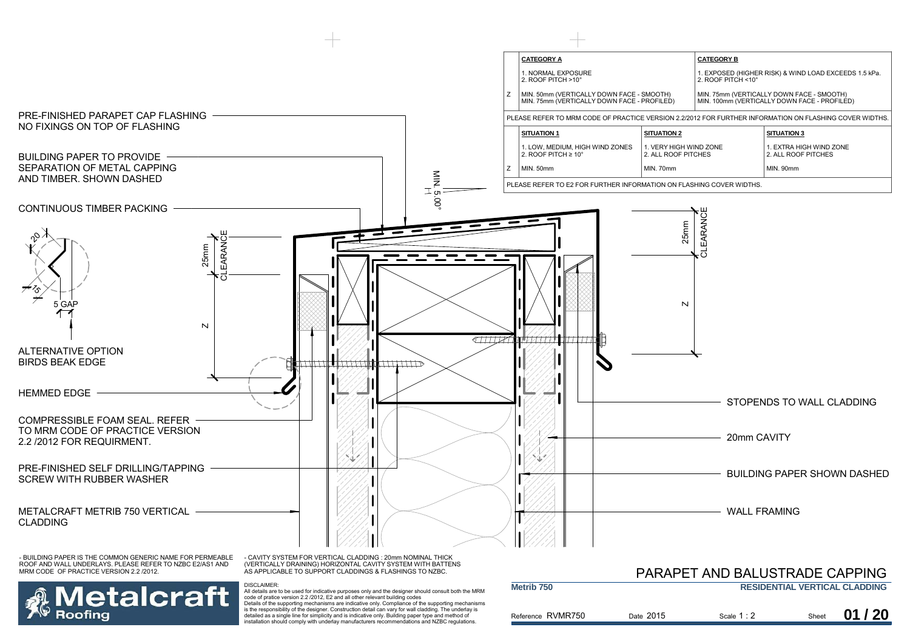



- CAVITY SYSTEM FOR VERTICAL CLADDING : 20mm NOMINAL THICK (VERTICALLY DRAINING) HORIZONTAL CAVITY SYSTEM WITH BATTENS AS APPLICABLE TO SUPPORT CLADDINGS & FLASHINGS TO NZBC.

DISCLAIMER:

|                       |                                      | PARAPET AND BALUSTRADE CAPPING |       |       |
|-----------------------|--------------------------------------|--------------------------------|-------|-------|
| Metrib <sub>750</sub> | <b>RESIDENTIAL VERTICAL CLADDING</b> |                                |       |       |
| Reference RVMR750     | Date 2015                            | Scale $1:2$                    | Sheet | 01/20 |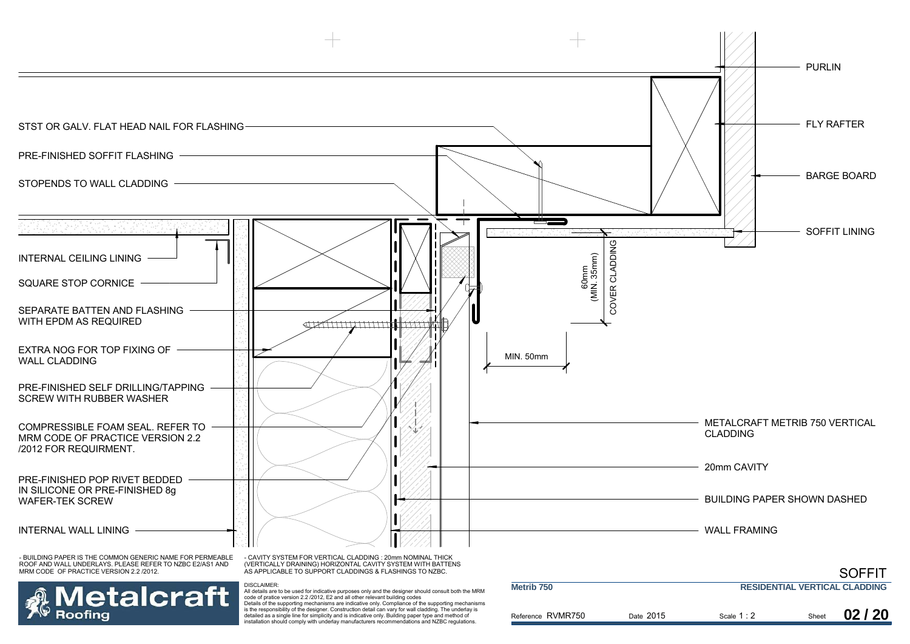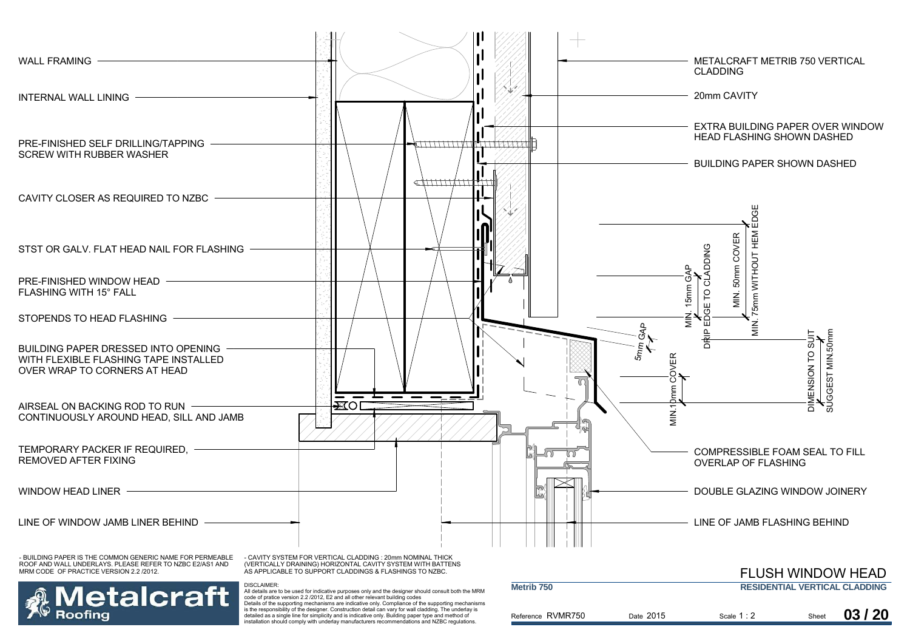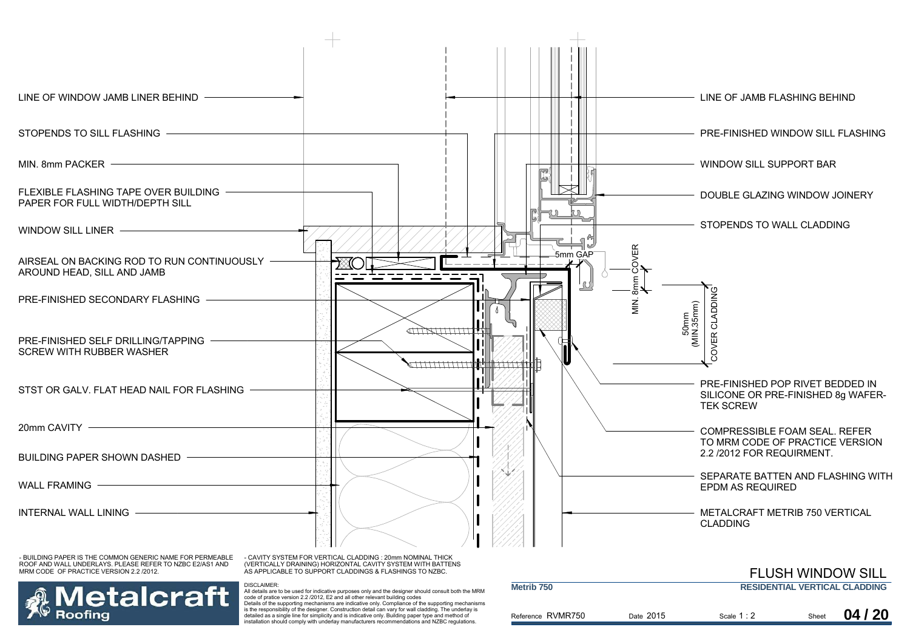

Details of the supporting mechanisms are indicative only. Compliance of the supporting mechanisms is the responsibility of the designer. Construction detail can vary for wall cladding. The underlay is detailed as a single line for simplicity and is indicative only. Building paper type and method of installation should comply with underlay manufacturers recommendations and NZBC regulations.

Roofina

| Reference RVMR750 | Date 2015 | Scale $1:2$ | Sheet | 04/20 |
|-------------------|-----------|-------------|-------|-------|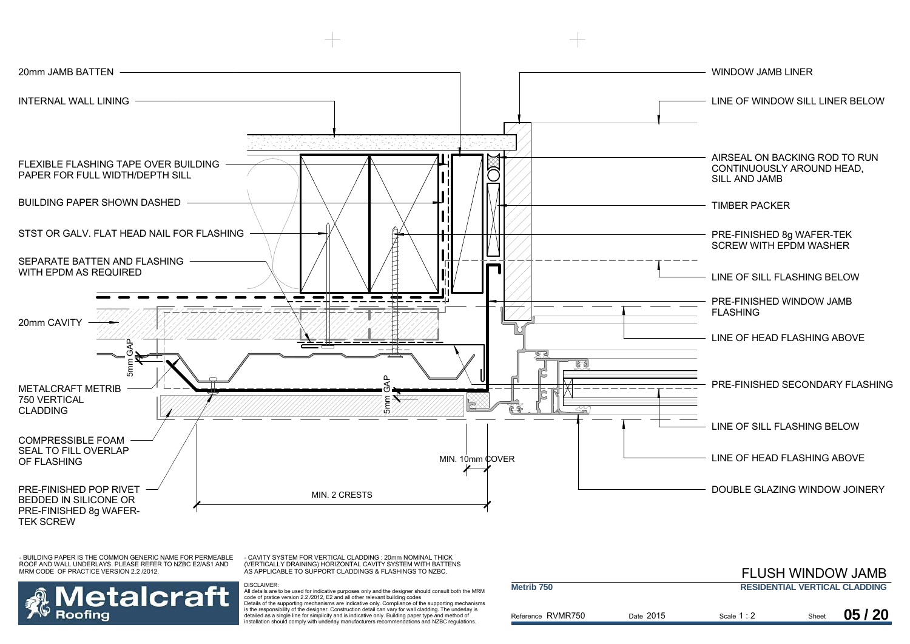

- CAVITY SYSTEM FOR VERTICAL CLADDING : 20mm NOMINAL THICK (VERTICALLY DRAINING) HORIZONTAL CAVITY SYSTEM WITH BATTENS AS APPLICABLE TO SUPPORT CLADDINGS & FLASHINGS TO NZBC.

DISCLAIMER:



|                       |           | <b>FLUSH WINDOW JAMB</b> |       |                                      |
|-----------------------|-----------|--------------------------|-------|--------------------------------------|
| Metrib <sub>750</sub> |           |                          |       | <b>RESIDENTIAL VERTICAL CLADDING</b> |
| Reference RVMR750     | Date 2015 | Scale $1:2$              | Sheet | 05/20                                |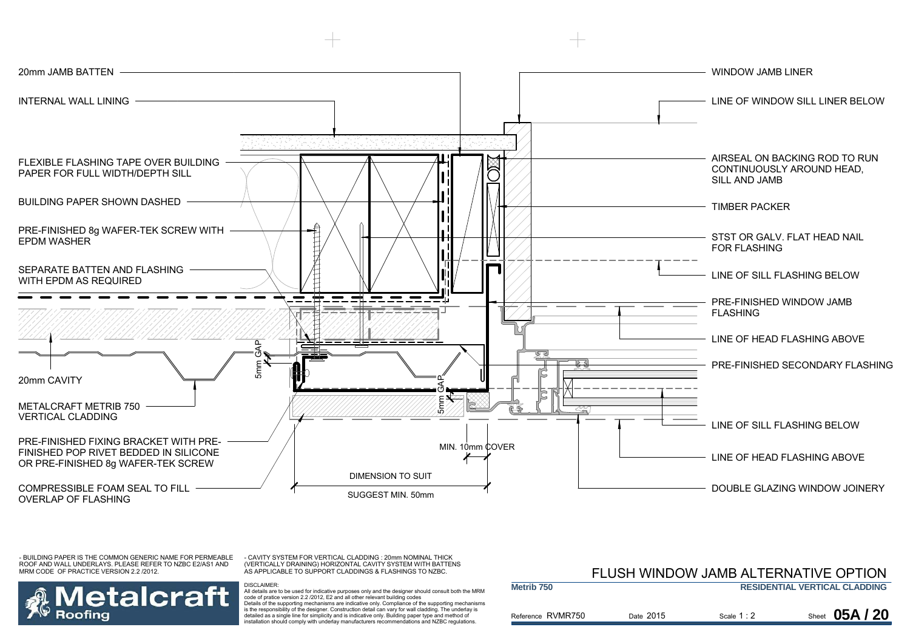

- CAVITY SYSTEM FOR VERTICAL CLADDING : 20mm NOMINAL THICK (VERTICALLY DRAINING) HORIZONTAL CAVITY SYSTEM WITH BATTENS AS APPLICABLE TO SUPPORT CLADDINGS & FLASHINGS TO NZBC.

DISCLAIMER:

## etalcraft Roofina

 All details are to be used for indicative purposes only and the designer should consult both the MRM code of pratice version 2.2 /2012, E2 and all other relevant building codes Details of the supporting mechanisms are indicative only. Compliance of the supporting mechanisms is the responsibility of the designer. Construction detail can vary for wall cladding. The underlay is detailed as a single line for simplicity and is indicative only. Building paper type and method of installation should comply with underlay manufacturers recommendations and NZBC regulations.

#### Reference RVMR750 **Metrib 750RESIDENTIAL VERTICAL CLADDING** Date 2015 Scale  $1:2$ FLUSH WINDOW JAMB ALTERNATIVE OPTION**Sheet 05A/20**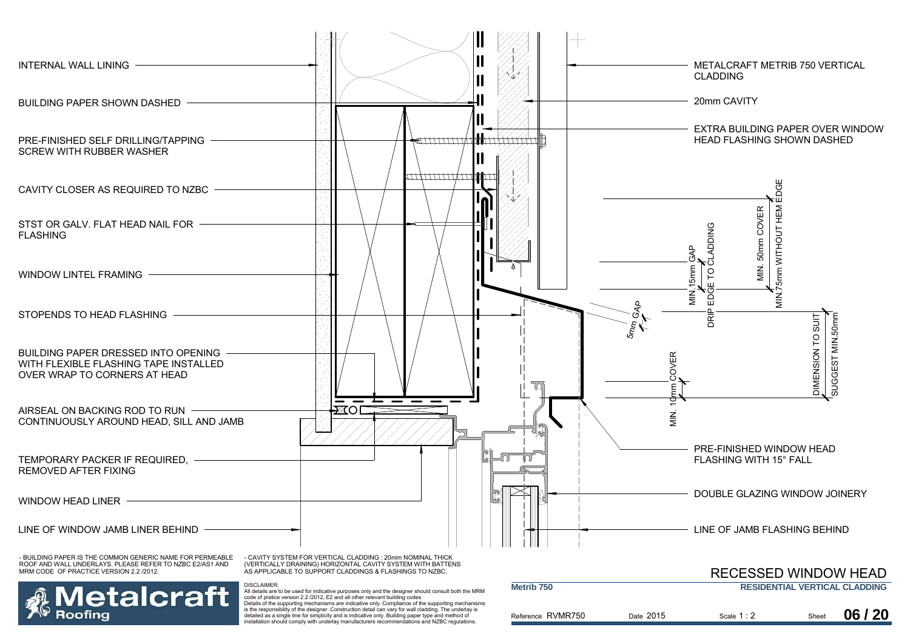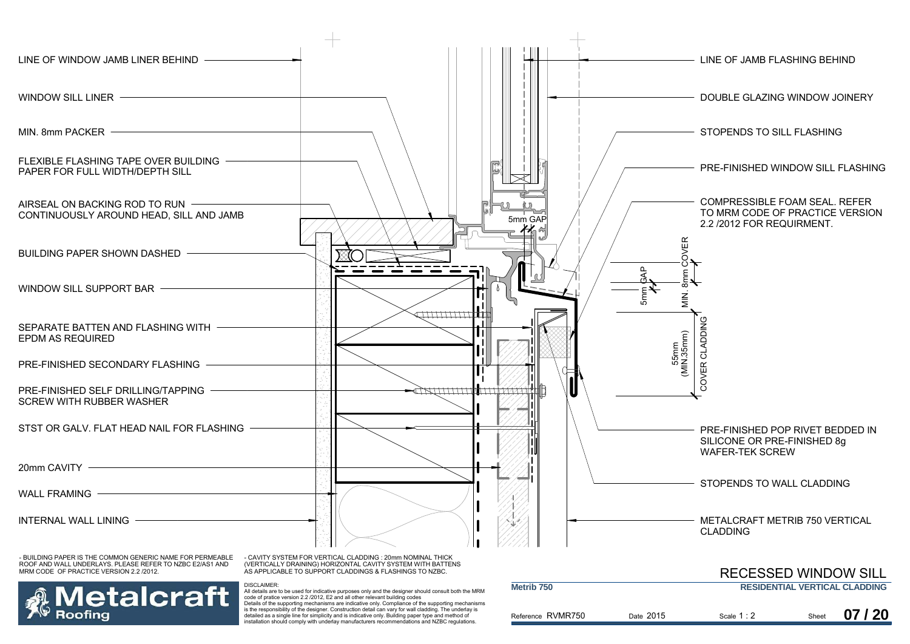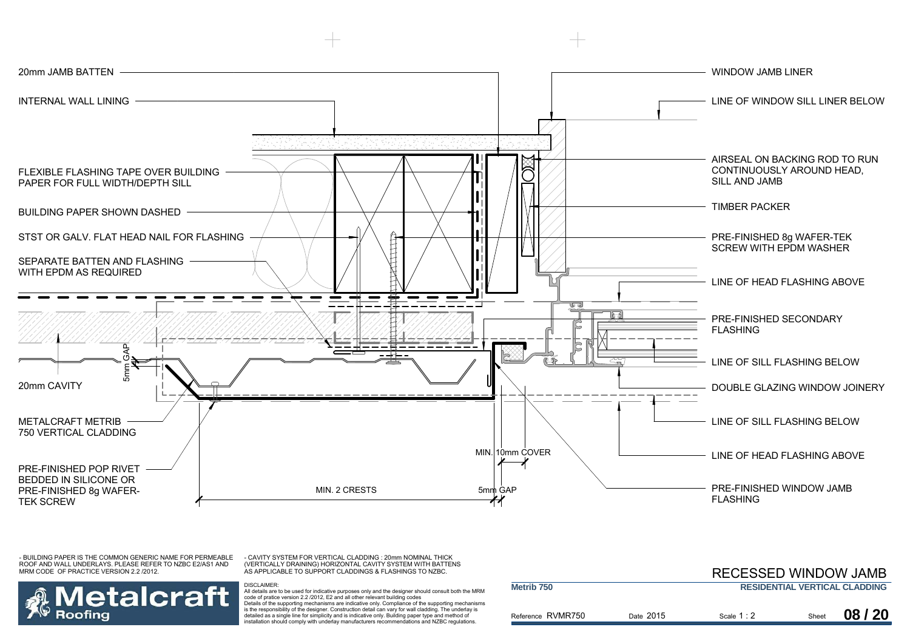

- CAVITY SYSTEM FOR VERTICAL CLADDING : 20mm NOMINAL THICK (VERTICALLY DRAINING) HORIZONTAL CAVITY SYSTEM WITH BATTENS AS APPLICABLE TO SUPPORT CLADDINGS & FLASHINGS TO NZBC.



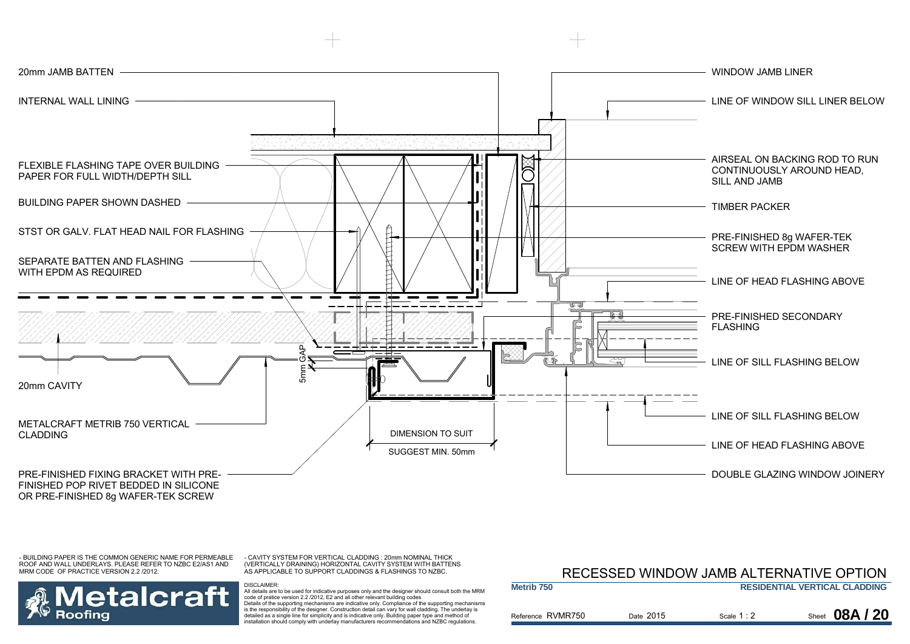

- CAVITY SYSTEM FOR VERTICAL CLADDING : 20mm NOMINAL THICK (VERTICALLY DRAINING) HORIZONTAL CAVITY SYSTEM WITH BATTENS AS APPLICABLE TO SUPPORT CLADDINGS & FLASHINGS TO NZBC.

DISCLAIMER:

## etalcraft Roofina

 All details are to be used for indicative purposes only and the designer should consult both the MRM code of pratice version 2.2 /2012, E2 and all other relevant building codes Details of the supporting mechanisms are indicative only. Compliance of the supporting mechanisms is the responsibility of the designer. Construction detail can vary for wall cladding. The underlay is detailed as a single line for simplicity and is indicative only. Building paper type and method of installation should comply with underlay manufacturers recommendations and NZBC regulations.

### Reference RVMR750 **Metrib 750RESIDENTIAL VERTICAL CLADDING** Date 2015 Scale  $1:2$ RECESSED WINDOW JAMB ALTERNATIVE OPTION**Sheet 08A/20**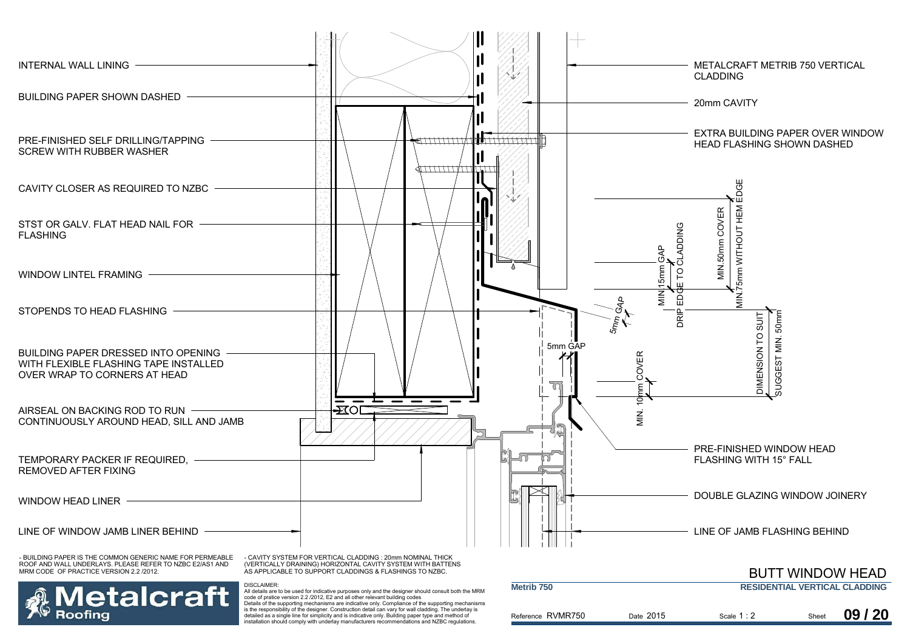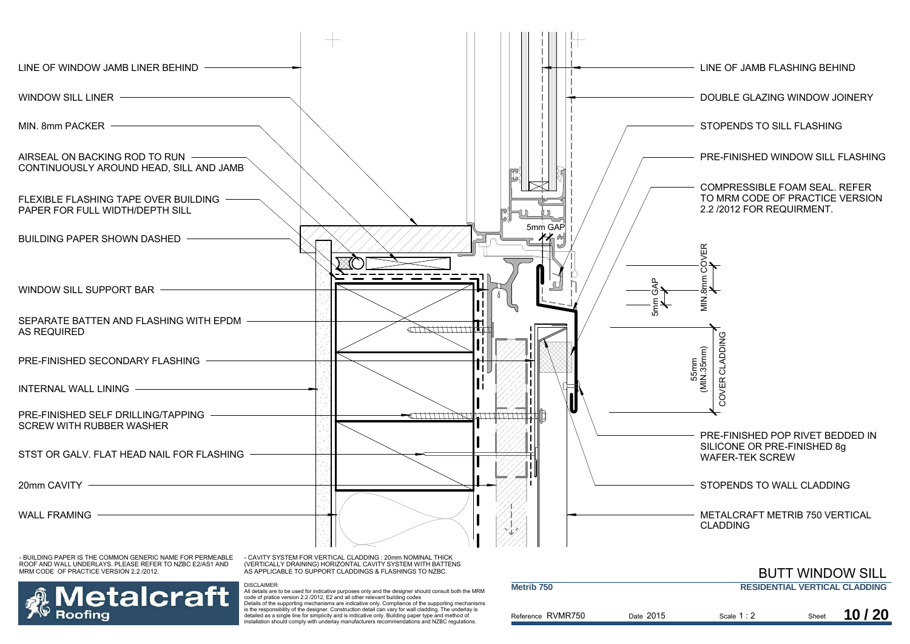

is the responsibility of the designer. Construction detail can vary for wall cladding. The underlay is detailed as a single line for simplicity and is indicative only. Building paper type and method of installation should comply with underlay manufacturers recommendations and NZBC regulations.

Roofina

|                                                        | <b>IVIELI ID 750</b> |  | <b>RESIDENTIAL VERTIGAL GLADDING</b> |  |  |       |
|--------------------------------------------------------|----------------------|--|--------------------------------------|--|--|-------|
| Reference RVMR750<br>Date 2015<br>Sheet<br>Scale $1:2$ |                      |  |                                      |  |  | 10/20 |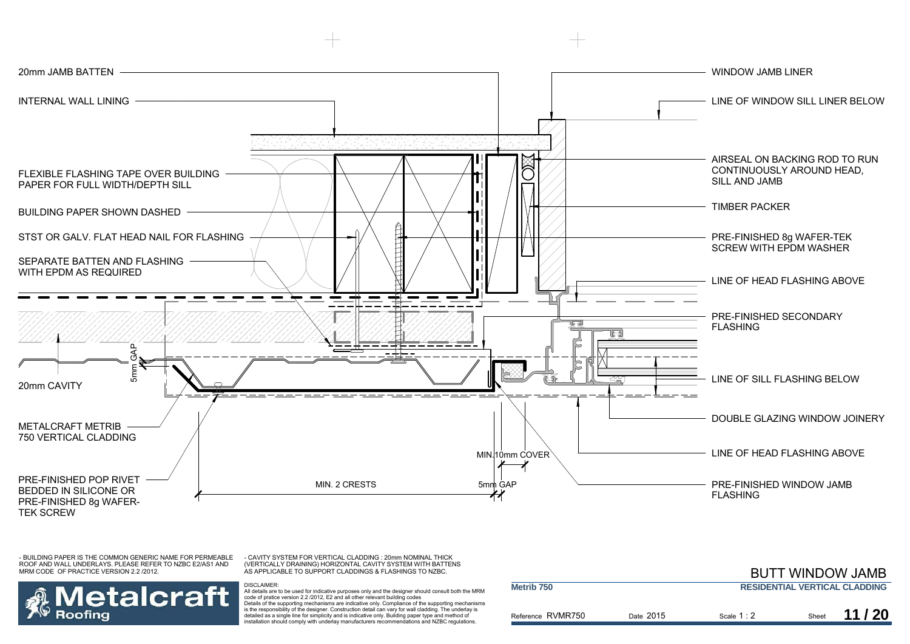

- CAVITY SYSTEM FOR VERTICAL CLADDING : 20mm NOMINAL THICK (VERTICALLY DRAINING) HORIZONTAL CAVITY SYSTEM WITH BATTENS AS APPLICABLE TO SUPPORT CLADDINGS & FLASHINGS TO NZBC.



DISCLAIMER:

 All details are to be used for indicative purposes only and the designer should consult both the MRM code of pratice version 2.2 /2012, E2 and all other relevant building codes Details of the supporting mechanisms are indicative only. Compliance of the supporting mechanisms is the responsibility of the designer. Construction detail can vary for wall cladding. The underlay is detailed as a single line for simplicity and is indicative only. Building paper type and method of installation should comply with underlay manufacturers recommendations and NZBC regulations.

|                       |           |             |       | <b>BUTT WINDOW JAMB</b>              |
|-----------------------|-----------|-------------|-------|--------------------------------------|
| Metrib <sub>750</sub> |           |             |       | <b>RESIDENTIAL VERTICAL CLADDING</b> |
| Reference RVMR750     | Date 2015 | Scale $1:2$ | Sheet | 11/20                                |

BUTT WINDOW CHARGE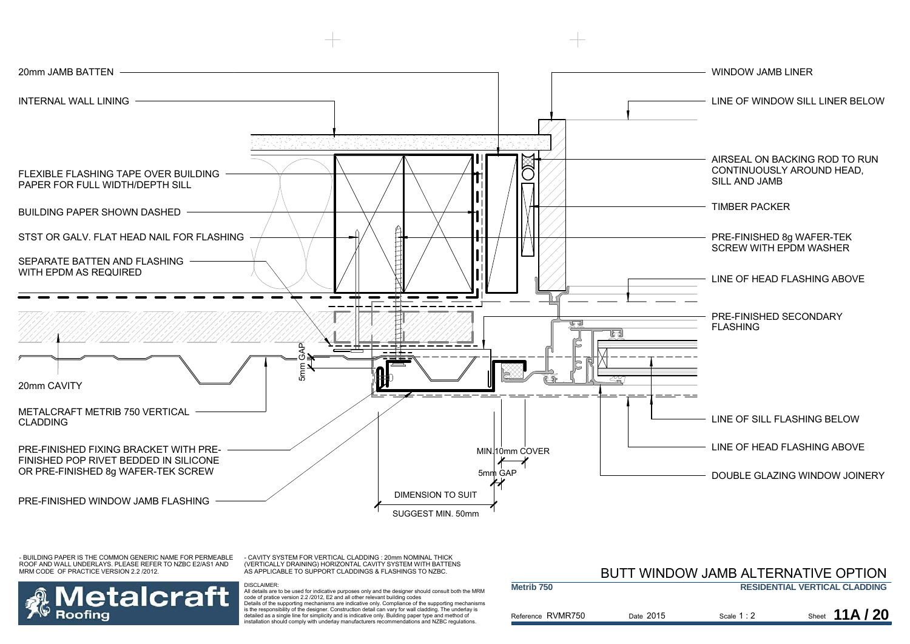

- CAVITY SYSTEM FOR VERTICAL CLADDING : 20mm NOMINAL THICK (VERTICALLY DRAINING) HORIZONTAL CAVITY SYSTEM WITH BATTENS AS APPLICABLE TO SUPPORT CLADDINGS & FLASHINGS TO NZBC.



|                   | BUTT WINDOW JAMB ALTERNATIVE OPTION |             |                                      |  |
|-------------------|-------------------------------------|-------------|--------------------------------------|--|
| Metrib 750        |                                     |             | <b>RESIDENTIAL VERTICAL CLADDING</b> |  |
| Reference RVMR750 | Date 2015                           | Scale $1:2$ | Sheet $11A/20$                       |  |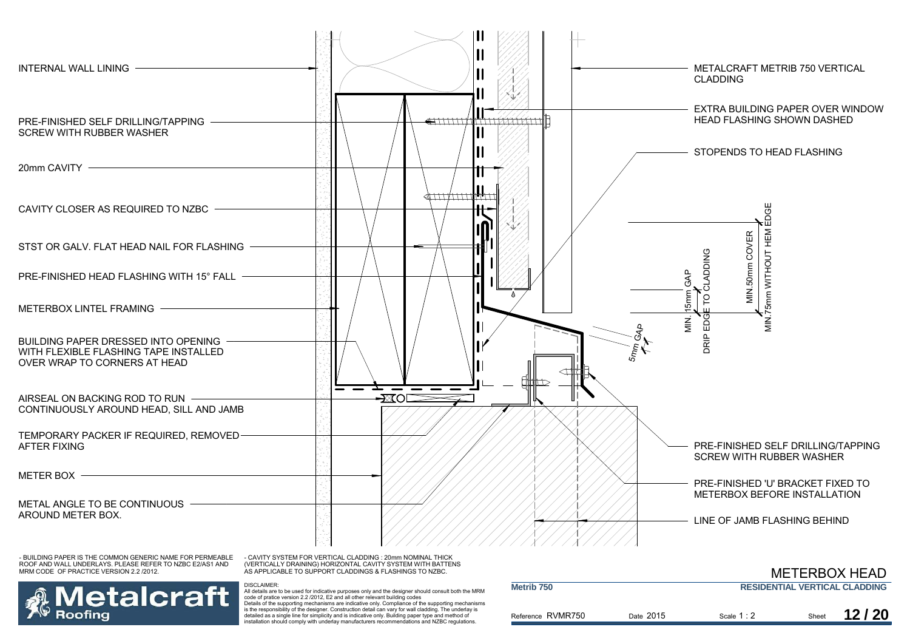

- CAVITY SYSTEM FOR VERTICAL CLADDING : 20mm NOMINAL THICK (VERTICALLY DRAINING) HORIZONTAL CAVITY SYSTEM WITH BATTENS AS APPLICABLE TO SUPPORT CLADDINGS & FLASHINGS TO NZBC.

DISCLAIMER:



| <b>METERBOX HEAD</b>  |                                      |             |       |       |
|-----------------------|--------------------------------------|-------------|-------|-------|
| Metrib <sub>750</sub> | <b>RESIDENTIAL VERTICAL CLADDING</b> |             |       |       |
| Reference RVMR750     | Date 2015                            | Scale 1 : 2 | Sheet | 12/20 |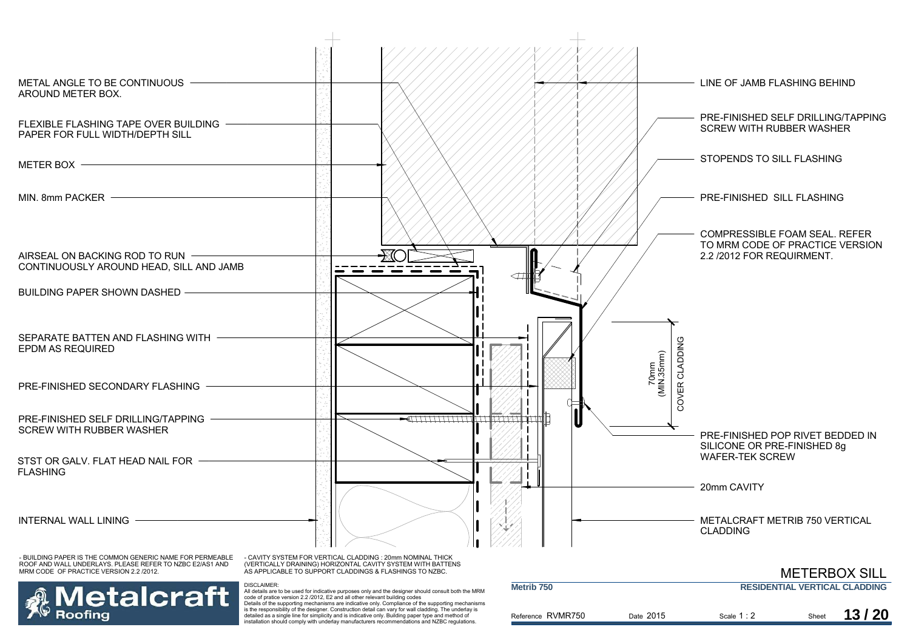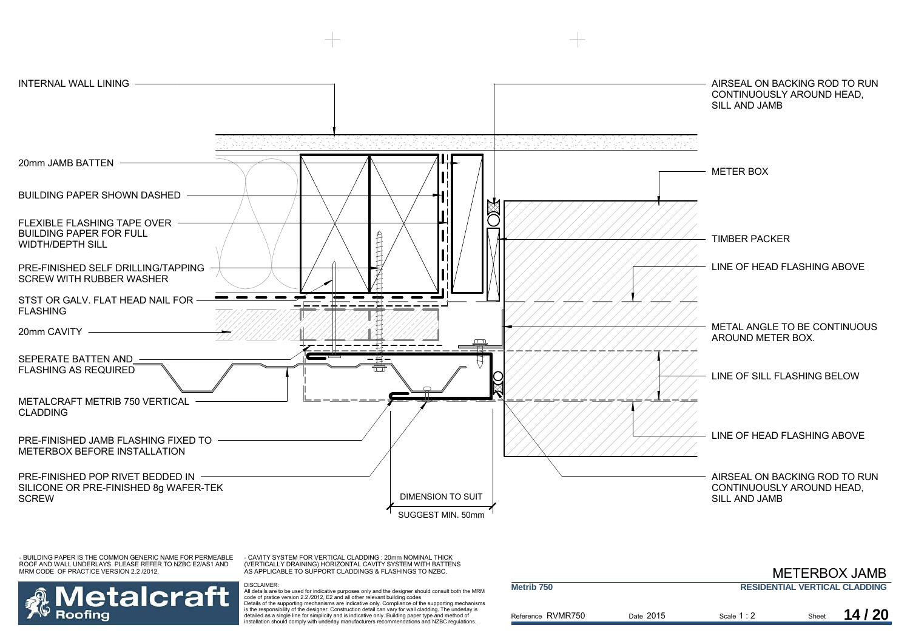

- CAVITY SYSTEM FOR VERTICAL CLADDING : 20mm NOMINAL THICK (VERTICALLY DRAINING) HORIZONTAL CAVITY SYSTEM WITH BATTENS AS APPLICABLE TO SUPPORT CLADDINGS & FLASHINGS TO NZBC.

DISCLAIMER:



|                       |           |             |       | <b>METERBOX JAMB</b>                 |
|-----------------------|-----------|-------------|-------|--------------------------------------|
| Metrib <sub>750</sub> |           |             |       | <b>RESIDENTIAL VERTICAL CLADDING</b> |
| Reference RVMR750     | Date 2015 | Scale $1:2$ | Sheet | 14/20                                |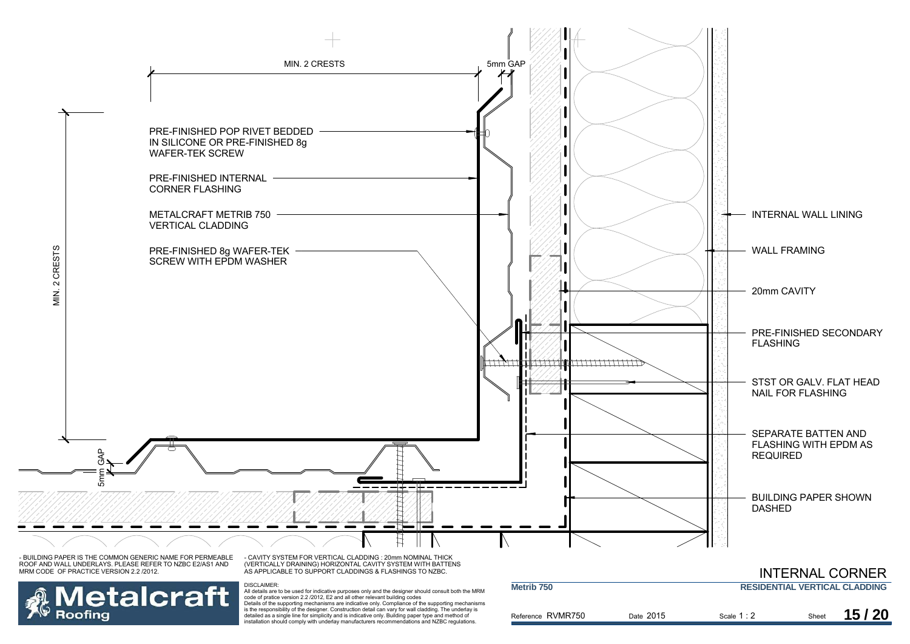

**Metalcraft** Roofing installation should comply with underlay manufacturers recommendations and NZBC regulations.

DISCLAIMER:<br>All details are to be used for indicative purposes only and the designer should consult both the MRM<br>code of pratice version 2.2 /2012, E2 and all other relevant building codes<br>Details of the supporting mechani is the responsibility of the designer. Construction detail can vary for wall cladding. The underlay is detailed as a single line for simplicity and is indicative only. Building paper type and method of

| Metrib 750        |           | <b>RESIDENTIAL VERTICAL CLADDING</b> |       |       |
|-------------------|-----------|--------------------------------------|-------|-------|
| Reference RVMR750 | Date 2015 | Scale $1:2$                          | Sheet | 15/20 |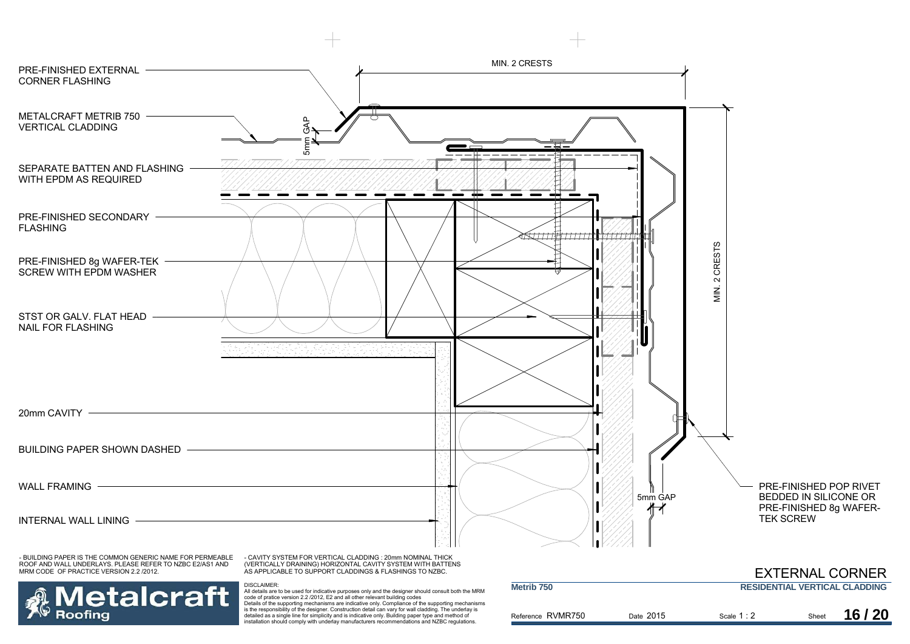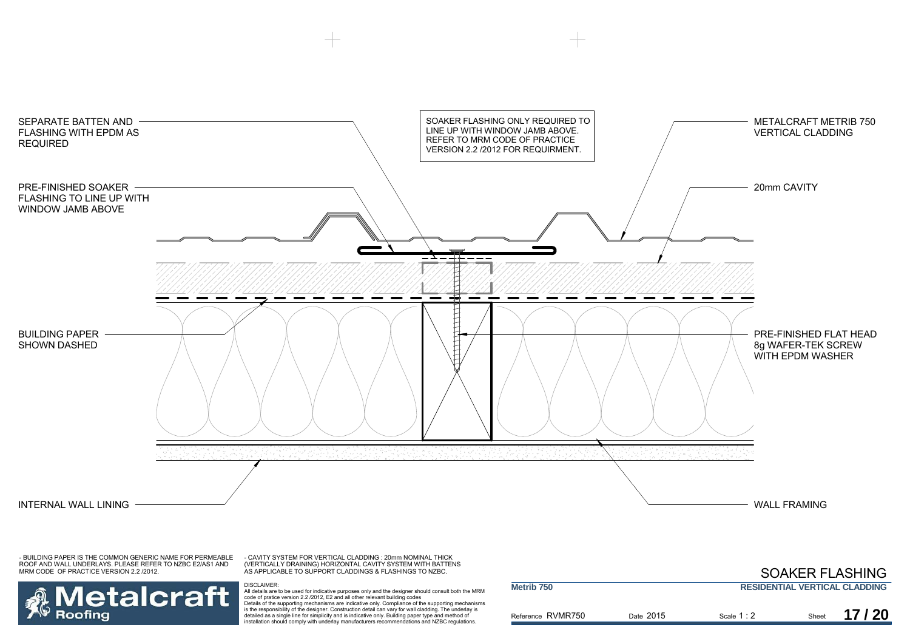

- CAVITY SYSTEM FOR VERTICAL CLADDING : 20mm NOMINAL THICK (VERTICALLY DRAINING) HORIZONTAL CAVITY SYSTEM WITH BATTENS AS APPLICABLE TO SUPPORT CLADDINGS & FLASHINGS TO NZBC.

## **Metalcraft** Roofing

|                       |           | <b>SOAKER FLASHING</b>               |       |       |
|-----------------------|-----------|--------------------------------------|-------|-------|
| Metrib <sub>750</sub> |           | <b>RESIDENTIAL VERTICAL CLADDING</b> |       |       |
| Reference RVMR750     | Date 2015 | Scale $1:2$                          | Sheet | 17/20 |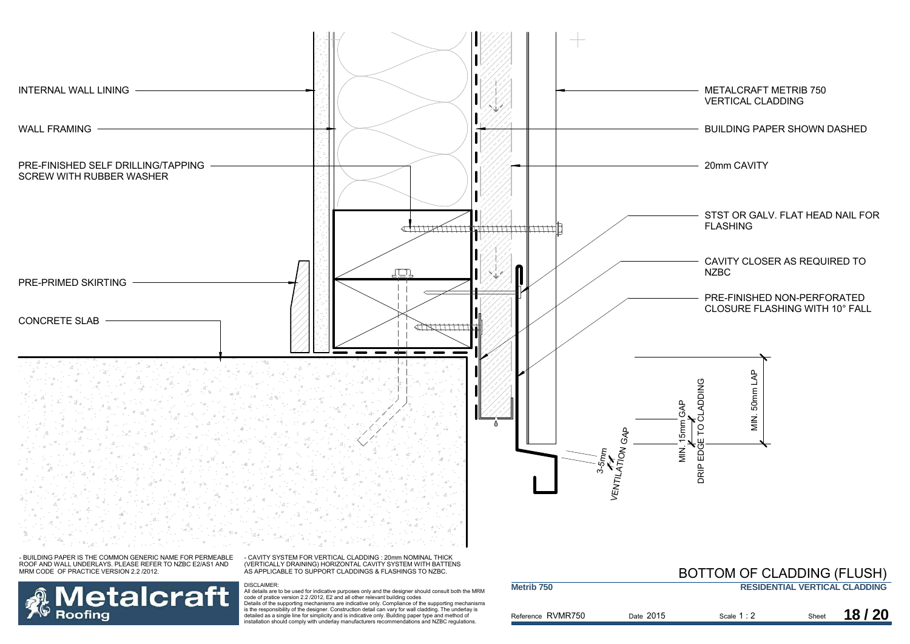

**Metalcraft** Roofing

| Metrib <sub>750</sub> |           |             |       | <b>RESIDENTIAL VERTICAL CLADDING</b> |
|-----------------------|-----------|-------------|-------|--------------------------------------|
| Reference RVMR750     | Date 2015 | Scale $1:2$ | Sheet | 18/20                                |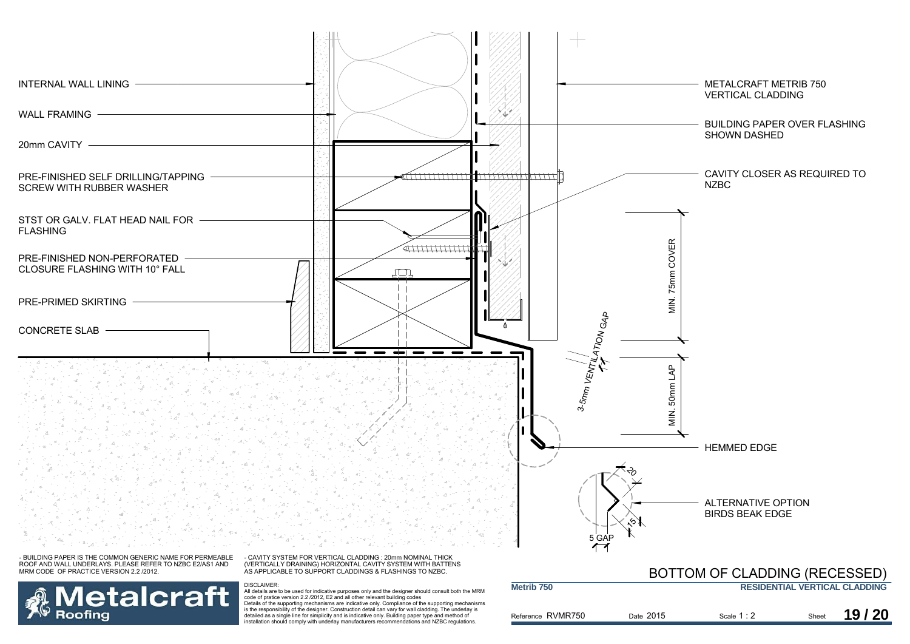